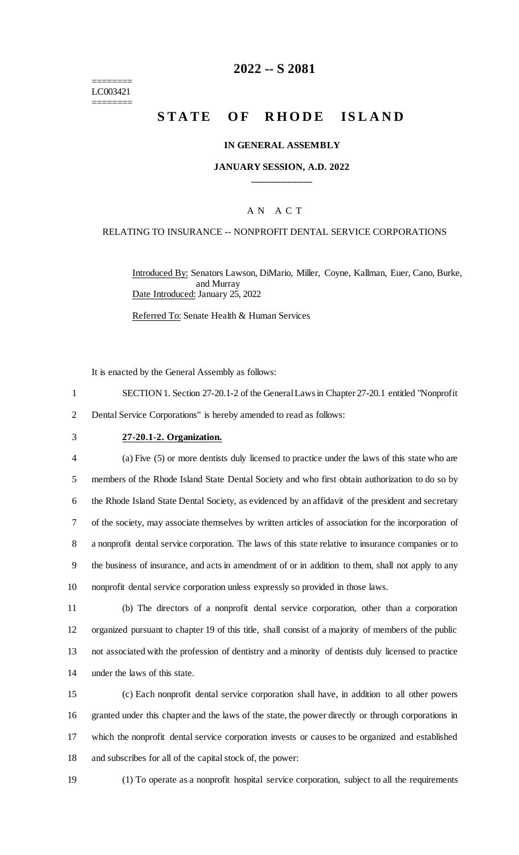======== LC003421 ========

# **2022 -- S 2081**

# **STATE OF RHODE ISLAND**

### **IN GENERAL ASSEMBLY**

### **JANUARY SESSION, A.D. 2022 \_\_\_\_\_\_\_\_\_\_\_\_**

## A N A C T

#### RELATING TO INSURANCE -- NONPROFIT DENTAL SERVICE CORPORATIONS

Introduced By: Senators Lawson, DiMario, Miller, Coyne, Kallman, Euer, Cano, Burke, and Murray Date Introduced: January 25, 2022

Referred To: Senate Health & Human Services

It is enacted by the General Assembly as follows:

1 SECTION 1. Section 27-20.1-2 of the General Laws in Chapter 27-20.1 entitled "Nonprofit 2 Dental Service Corporations" is hereby amended to read as follows:

#### 3 **27-20.1-2. Organization.**

 (a) Five (5) or more dentists duly licensed to practice under the laws of this state who are members of the Rhode Island State Dental Society and who first obtain authorization to do so by the Rhode Island State Dental Society, as evidenced by an affidavit of the president and secretary of the society, may associate themselves by written articles of association for the incorporation of a nonprofit dental service corporation. The laws of this state relative to insurance companies or to the business of insurance, and acts in amendment of or in addition to them, shall not apply to any nonprofit dental service corporation unless expressly so provided in those laws.

 (b) The directors of a nonprofit dental service corporation, other than a corporation organized pursuant to chapter 19 of this title, shall consist of a majority of members of the public not associated with the profession of dentistry and a minority of dentists duly licensed to practice under the laws of this state.

 (c) Each nonprofit dental service corporation shall have, in addition to all other powers granted under this chapter and the laws of the state, the power directly or through corporations in which the nonprofit dental service corporation invests or causes to be organized and established and subscribes for all of the capital stock of, the power:

19 (1) To operate as a nonprofit hospital service corporation, subject to all the requirements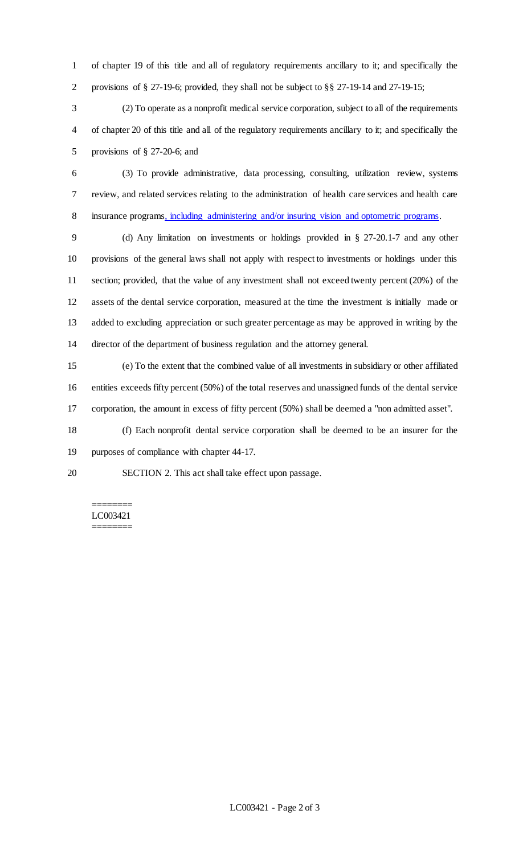of chapter 19 of this title and all of regulatory requirements ancillary to it; and specifically the provisions of § 27-19-6; provided, they shall not be subject to §§ 27-19-14 and 27-19-15;

 (2) To operate as a nonprofit medical service corporation, subject to all of the requirements of chapter 20 of this title and all of the regulatory requirements ancillary to it; and specifically the provisions of § 27-20-6; and

 (3) To provide administrative, data processing, consulting, utilization review, systems review, and related services relating to the administration of health care services and health care 8 insurance programs, including administering and/or insuring vision and optometric programs.

 (d) Any limitation on investments or holdings provided in § 27-20.1-7 and any other provisions of the general laws shall not apply with respect to investments or holdings under this section; provided, that the value of any investment shall not exceed twenty percent (20%) of the assets of the dental service corporation, measured at the time the investment is initially made or added to excluding appreciation or such greater percentage as may be approved in writing by the director of the department of business regulation and the attorney general.

 (e) To the extent that the combined value of all investments in subsidiary or other affiliated entities exceeds fifty percent (50%) of the total reserves and unassigned funds of the dental service corporation, the amount in excess of fifty percent (50%) shall be deemed a "non admitted asset".

 (f) Each nonprofit dental service corporation shall be deemed to be an insurer for the purposes of compliance with chapter 44-17.

SECTION 2. This act shall take effect upon passage.

======== LC003421 ========